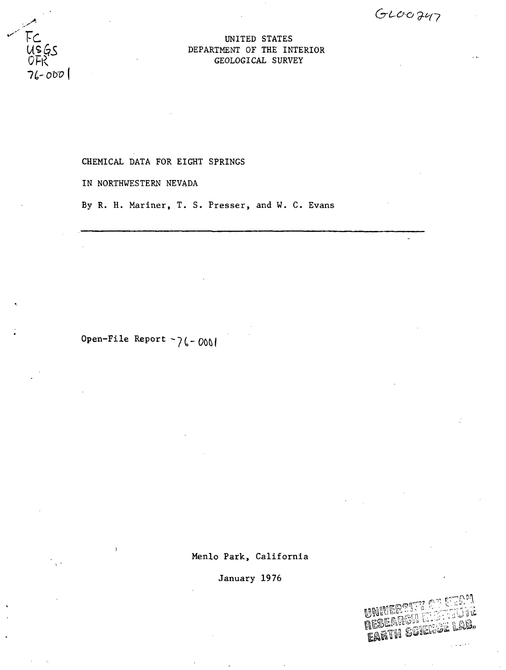$GLOO747$ 

## UNITED STATES DEPARTMENT OF THE INTERIOR GEOLOGICAL SURVEY

# CHEMICAL DATA FOR EIGHT SPRINGS

IN NORTHWESTERN NEVADA

FC<br>USGS<br>OFR

 $76 - 000$ 

By R. H. Mariner, T. S. Presser, and W. C. Evans

Open-File Report  $\sim$ 76-000

Menlo Park, California

January 1976

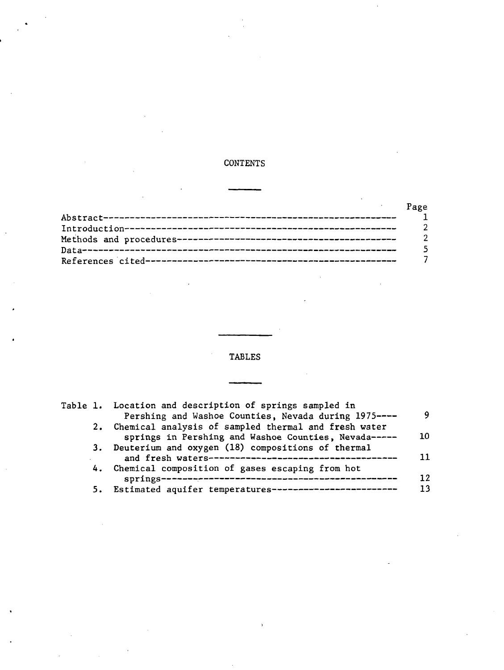# CONTENTS

| Page |
|------|
|      |
|      |
|      |
|      |
|      |

# TABLES

|  | Table 1. Location and description of springs sampled in<br>Pershing and Washoe Counties, Nevada during 1975---- | Q  |
|--|-----------------------------------------------------------------------------------------------------------------|----|
|  | 2. Chemical analysis of sampled thermal and fresh water                                                         |    |
|  | springs in Pershing and Washoe Counties, Nevada-----                                                            | 10 |
|  | 3. Deuterium and oxygen (18) compositions of thermal                                                            |    |
|  | 4. Chemical composition of gases escaping from hot                                                              | 12 |
|  | 5. Estimated aquifer temperatures------------------------                                                       |    |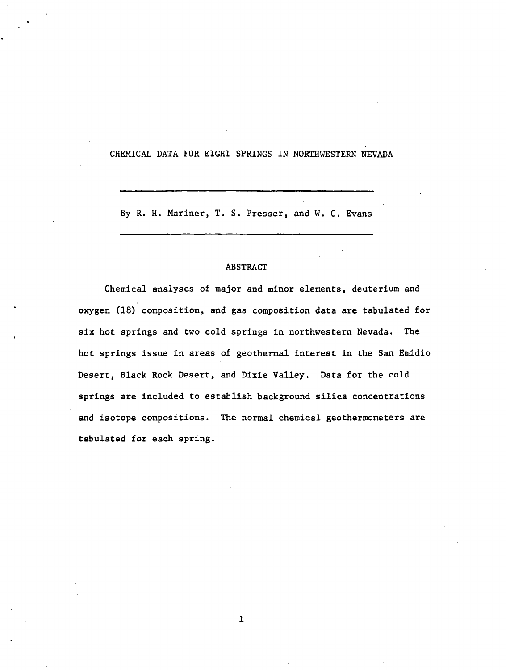## CHEMICAL DATA FOR EIGHT SPRINGS IN NORTHWESTERN NEVADA

By R. H. Mariner, T. S. Presser, and W. C. Evans

### ABSTRACT

Chemical analyses of major and minor elements, deuterium and oxygen (18) composition, and gas composition data are tabulated for six hot springs and two cold springs in northwestern Nevada. The hot springs issue in areas of geothermal interest in the San Emidio Desert, Black Rock Desert, and Dixie Valley. Data for the cold springs are Included to establish background silica concentrations and isotope compositions. The normal chemical geothermometers are tabulated for each spring.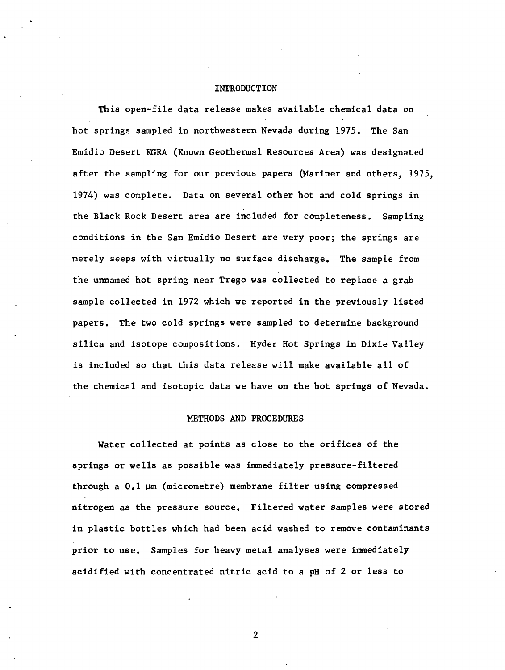## INTRODUCTION

This open-file data release makes available chemical data on hot springs sampled in northwestern Nevada during 1975. The San Emidio Desert KGRA (Known Geothermal Resources Area) was designated after the sampling for our previous papers (Mariner and others, 1975, 1974) was complete. Data on several other hot and cold springs in the Black Rock Desert area are included for completeness. Sampling conditions in the San Emidio Desert are very poor; the springs are merely seeps with virtually no surface discharge. The sample from the unnamed hot spring near Trego was collected to replace a grab sample collected in 1972 which we reported in the previously listed papers. The two cold springs were sampled to determine background silica and isotope compositions. Ryder Hot Springs in Dixie Valley is included so that this data release will make available all of the chemical and isotopic data we have on the hot springs of Nevada.

#### METHODS AND PROCEDURES

Water collected at points as close to the orifices of the springs or wells as possible was immediately pressure-filtered through a  $0.1 \,\mu\text{m}$  (micrometre) membrane filter using compressed nitrogen as the pressure source. Filtered water samples were stored in plastic bottles which had been acid washed to remove contaminants prior to use. Samples for heavy metal analyses were immediately acidified with concentrated nitric acid to a pH of 2 or less to

 $\overline{2}$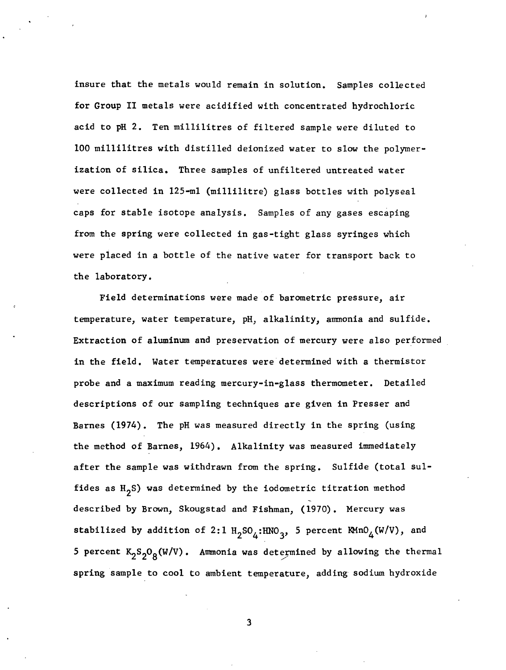insure that the metals would remain in solution. Samples collected for Group II metals were acidified with concentrated hydrochloric acid to pH 2. Ten millilitres of filtered sample were diluted to 100 millilitres with distilled deionized water to slow the polymerization of silica. Three samples of unfiltered untreated water were collected in 125-ml (millilitre) glass bottles with polyseal caps for stable isotope analysis. Samples of any gases escaping from the spring were collected in gas-tight glass syringes which were placed in a bottle of the native water for transport back to the laboratory.

Field determinations were made of barometric pressure, air temperature, water temperature, pH, alkalinity, ammonia and sulfide. Extraction of aluminum and preservation of mercury were also performed in the field. Water temperatures were determined with a thermistor probe and a maximum reading mercury-in-glass thermometer. Detailed descriptions of our sampling techniques are given in Presser and Barnes (1974). The pH was measured directly in the spring (using the method of Barnes, 1964) . Alkalinity was measured immediately after the sample was withdrawn from the spring. Sulfide (total sulfides as  $H_2S$ ) was determined by the iodometric titration method described by Brown, Skougstad and Fishman, (1970). Mercury was stabilized by addition of 2:1  $H_2SO_\Delta$ :HNO<sub>3</sub>, 5 percent KMnO<sub>4</sub>(W/V), and 5 percent  $K_2S_2O_g(W/V)$ . Ammonia was determined by allowing the thermal spring sample to cool to ambient temperature, adding sodium hydroxide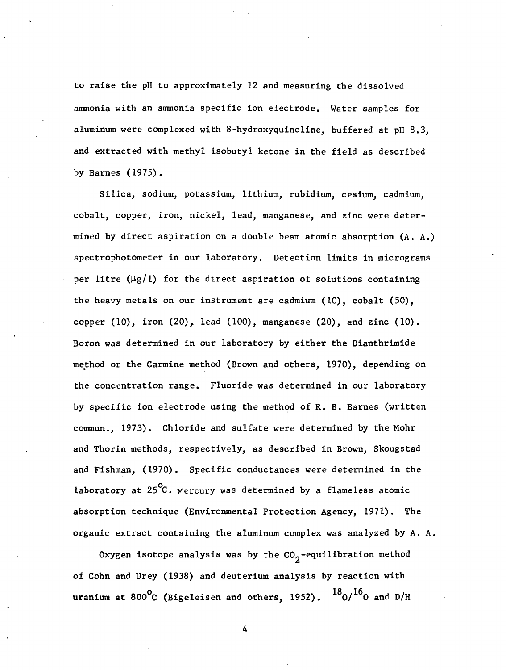to raise the pH to approximately 12 and measuring the dissolved ammonia with an ammonia specific ion electrode. Water samples for aluminum were complexed with 8-hydroxyquinoline, buffered at pH 8.3, and extracted with methyl isobutyl ketone in the field as described by Barnes (1975).

Silica, sodium, potassium, lithium, rubidium, cesium, cadmium, cobalt, copper, iron, nickel, lead, manganese, and zinc were determined by direct aspiration on a double beam atomic absorption (A. A.) spectrophotometer in our laboratory. Detection limits in micrograms per litre  $(\mu g/1)$  for the direct aspiration of solutions containing the heavy metals on our instrument are cadmium (10), cobalt (50), copper (10), iron (20), lead (100), manganese (20), and zinc (10). Boron was determined in our laboratory by either the Dianthrimide method or the Carmine method (Brown and others, 1970), depending on the concentration range. Fluoride was determined in our laboratory by specific ion electrode using the method of R. B. Barnes (written commun., 1973). Chloride and sulfate were determined by the Mohr and Thorin methods, respectively, as described in Brown, Skougstad and Fishman, (1970). Specific conductances were determined in the laboratory at  $25^{\circ}$ C. Mercury was determined by a flameless atomic absorption technique (Environmental Protection Agency, 1971). The organic extract containing the aluminum complex was analyzed by A. A.

Oxygen isotope analysis was by the  $CO_2$ -equilibration method of Cohn and Urey (1938) and deuterium analysis by reaction with uranium at 800<sup>o</sup>C (Bigeleisen and others, 1952).  $^{18}$ O/ $^{16}$ O and D/H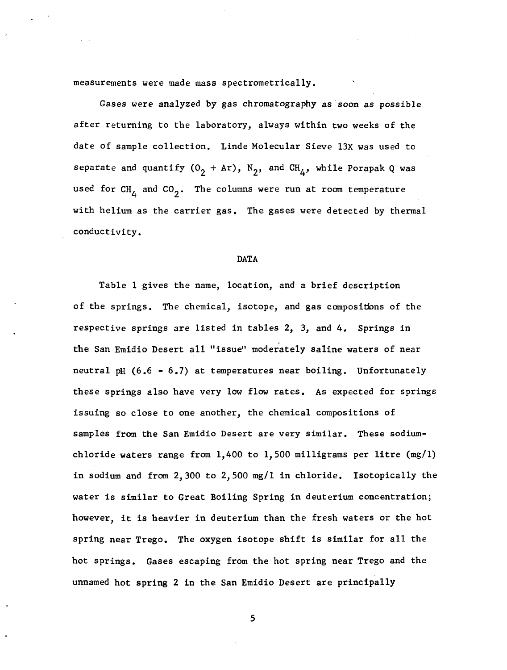measurements were made mass spectrometrically.

Gases were analyzed by gas chromatography as soon as possible after returning to the laboratory, always within two weeks of the date of sample collection. Linde Molecular Sieve 13X was used to separate and quantify  $(0_2 + Ar)$ ,  $N_2$ , and  $CH_{\Delta}$ , while Porapak Q was used for  $CH_A$  and  $CO_2$ . The columns were run at room temperature with helium as the carrier gas. The gases were detected by thermal conductivity.

#### DATA

Table 1 gives the name, location, and a brief description of the springs. The chemical, isotope, and gas compositions of the respective springs are listed in tables 2, 3, and 4. Springs in the San Emidio Desert all "issue" moderately saline waters of near neutral pH (6.6 - 6.7) at temperatures near boiling. Unfortunately these springs also have very low flow rates. As expected for springs issuing so close to one another, the chemical compositions of samples from the San Emidio Desert are very similar. These sodiumchloride waters range from 1,400 to 1,500 milligrams per litre  $(mg/1)$ in sodium and from 2,300 to 2,500 mg/1 in chloride. Isotopically the water is similar to Great Boiling Spring in deuterium concentration; however, it is heavier in deuterium than the fresh waters or the hot spring near Trego. The oxygen isotope shift is similar for all the hot springs. Gases escaping from the hot spring near Trego and the unnamed hot spring 2 in the San Emidio Desert are principally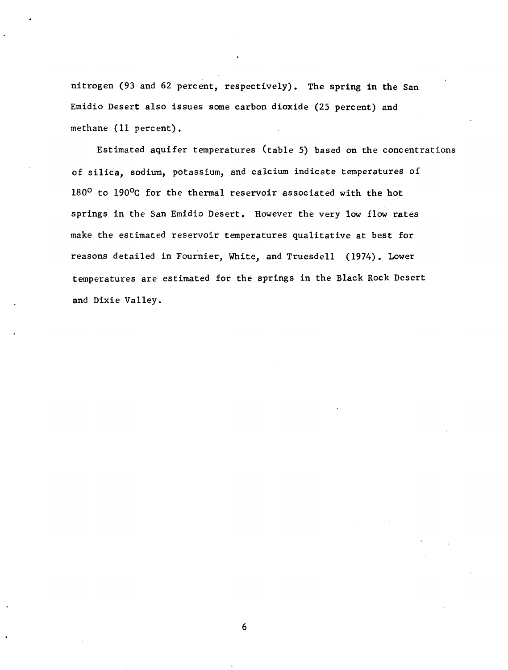nitrogen (93 and 62 percent, respectively). The spring in the San Emidio Desert also issues some carbon dioxide (25 percent) and methane (11 percent).

Estimated aquifer temperatures (table 5) based on the concentrations of silica, sodium, potassium, and calcium indicate temperatures of 180° to 190°C for the thermal reservoir associated with the hot springs in the San Emidio Desert. However the very low flow rates make the estimated reservoir temperatures qualitative at best for reasons detailed in Fournier, White, and Truesdell (1974). Lower temperatures are estimated for the springs in the Black Rock Desert and Dixie Valley.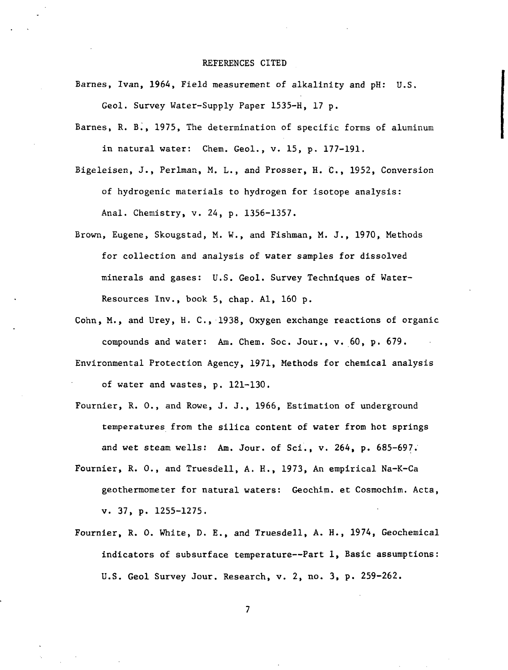#### REFERENCES CITED

Barnes, Ivan, 1964, Field measurement of alkalinity and pH: U.S.

Geol. Survey Water-Supply Paper 1535-H, 17 p.

- Barnes, R. B., 1975, The determination of specific forms of aluminum in natural water: Chem. Geol., v. 15, p. 177-191.
- Bigeleisen, J., Perlman, M. L., and Prosser, H. C., 1952, Conversion of hydrogenic materials to hydrogen for isotope analysis: Anal. Chemistry, v. 24, p. 1356-1357.
- Brown, Eugene, Skougstad, M. W., and Fishman, M. J., 1970, Methods for collection and analysis of water samples for dissolved minerals and gases: U.S. Geol. Survey Techniques of Water-Resources Inv., book 5, chap. Al, 160 p.
- Cohn, M., and Urey, H. C., 1938, Oxygen exchange reactions of organic compounds and water: Am. Chem. Soc. Jour., v. 60, p. 679.
- Environmental Protection Agency, 1971, Methods for chemical analysis of water and wastes, p. 121-130.
- Fournier, R. 0., and Rowe, J. J., 1966, Estimation of underground temperatures from the silica content of water from hot springs and wet steam wells: Am. Jour, of Sci., v. 264, p. 685-697.
- Fournier, R. 0., and Truesdell, A. H., 1973, An empirical Na-K-Ca geothermometer for natural waters: Geochim. et Cosmochim. Acta, V. 37, p. 1255-1275.
- Fournier, R. 0. White, D. E., and Truesdell, A. H., 1974, Geochemical indicators of subsurface temperature—Part 1, Basic assumptions: U.S. Geol Survey Jour. Research, v. 2, no. 3, p. 259-262.

 $\overline{\phantom{a}}$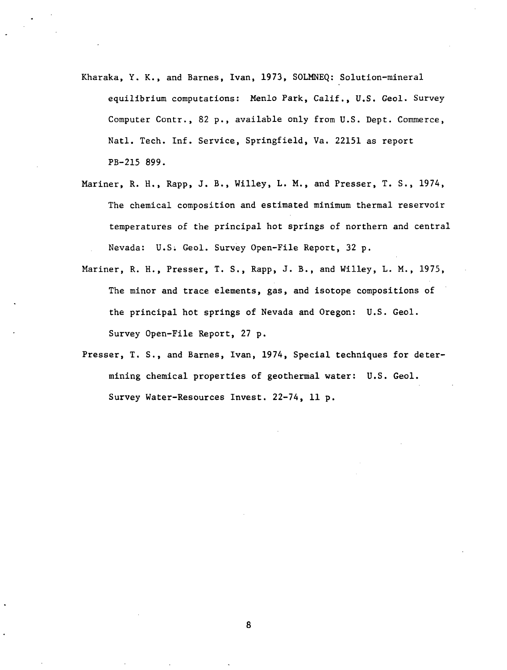- Kharaka, Y. K., and Barnes, Ivan, 1973, SOLMNEQ: Solution-mineral equilibrium computations: Menlo Park, Calif., U,S. Geol. Survey Computer Contr., 82 p., available only from U.S. Dept. Commerce, Natl. Tech. Inf. Service, Springfield, Va. 22151 as report PB-215 899.
- Mariner, R. H., Rapp, J. B., Willey, L. M., and Presser, T. S., 1974, The chemical composition and estimated minimum thermal reservoir temperatures of the principal hot springs of northern and central Nevada: U.S; Geol. Survey Open-File Report, 32 p.
- Mariner, R. H., Presser, T. S., Rapp, J. B., and Willey, L. M., 1975, The minor and trace elements, gas, and isotope compositions of the principal hot springs of Nevada and Oregon: U.S. Geol. Survey Open-File Report, 27 p.
- Presser, T. S., and Barnes, Ivan, 1974, Special techniques for determining chemical properties of geothermal water: U.S. Geol. Survey Water-Resources Invest. 22-74, 11 p.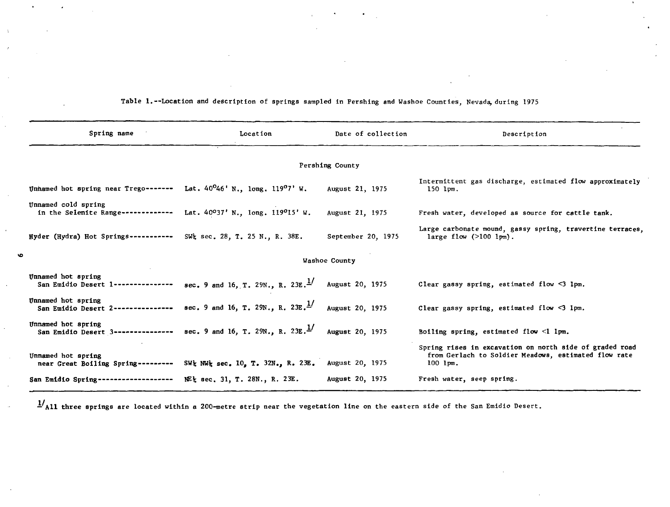| Spring name                                                                                | Location                                                                                          | Date of collection | Description                                                                                                                     |  |  |  |  |  |  |  |
|--------------------------------------------------------------------------------------------|---------------------------------------------------------------------------------------------------|--------------------|---------------------------------------------------------------------------------------------------------------------------------|--|--|--|--|--|--|--|
| Pershing County                                                                            |                                                                                                   |                    |                                                                                                                                 |  |  |  |  |  |  |  |
| Unhamed hot spring near Trego------- Lat. $40^046'$ N., long. 119 <sup>0</sup> 7' W.       | Intermittent gas discharge, estimated flow approximately<br>$150$ $1pm.$                          |                    |                                                                                                                                 |  |  |  |  |  |  |  |
| Unnamed cold spring<br>in the Selenite Range------------- Lat. 40037' N., long. 119015' W. |                                                                                                   | August 21, 1975    | Fresh water, developed as source for cattle tank.                                                                               |  |  |  |  |  |  |  |
| Hyder (Hydra) Hot Springs----------- SW's sec. 28, T. 25 N., R. 38E.                       |                                                                                                   | September 20, 1975 | Large carbonate mound, gassy spring, travertine terraces.<br>large flow $(>100 \text{ lpm}).$                                   |  |  |  |  |  |  |  |
|                                                                                            |                                                                                                   | Washoe County      |                                                                                                                                 |  |  |  |  |  |  |  |
| Unnamed hot spring                                                                         | San Emidio Desert 1--------------- sec. 9 and 16, T. 29N., R. 23E. <sup>1</sup> / August 20, 1975 |                    | Clear gassy spring, estimated flow $\leq$ 1pm.                                                                                  |  |  |  |  |  |  |  |
| Unnamed hot spring                                                                         | San Emidio Desert 2--------------- sec. 9 and 16, T. 29N., R. 23E. <sup>1</sup> / August 20, 1975 |                    | Clear gassy spring, estimated flow $\leq$ 1pm.                                                                                  |  |  |  |  |  |  |  |
| Unnamed hot spring                                                                         | San Emidio Desert 3--------------- sec. 9 and 16, T. 29N., R. 23E. <sup>1</sup> / August 20, 1975 |                    | Boiling spring, estimated flow $\leq$ l lpm.                                                                                    |  |  |  |  |  |  |  |
| Unnamed hot spring<br>near Great Boiling Spring---------                                   | SW <sub>2</sub> NW <sub>2</sub> sec. 10, T. 32N., R. 23E. August 20, 1975                         |                    | Spring rises in excavation on north side of graded road<br>from Gerlach to Soldier Meadows, estimated flow rate<br>$100$ $1pm.$ |  |  |  |  |  |  |  |
| San Emidio Spring--------------------                                                      | NEt sec. 31, T. 28N., R. 23E.                                                                     | August 20, 1975    | Fresh water, seep spring.                                                                                                       |  |  |  |  |  |  |  |

Table 1.--Location and description of springs sampled in Pershing and Washoe Counties, Nevada, during 1975

 $\frac{1}{4}$ All three springs are located within a 200-metre strip near the vegetation line on the eastern side of the San Emidio Desert.

 $\bullet$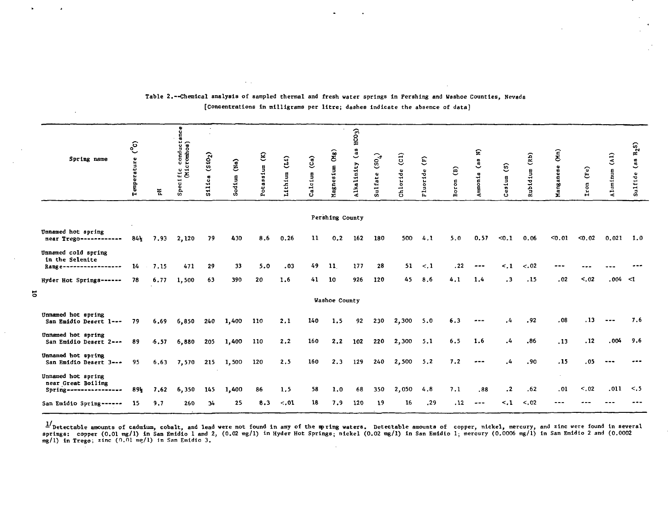|   | Spring name                                                       | $\epsilon$<br>Temperature | 푄       | ğ<br>ecific conduct<br>(Micromhos)<br>င္ဟ | (510 <sub>2</sub> )<br>ica<br>÷.<br>忌 | (Ma)<br>odium<br>ŵ | $\mathbf{E}$<br>sium<br>نه<br>$\overline{O}$ | (11)<br>Lithium | (Ca)<br>Calcium | (SN)<br>Magnesium | $HCO3$ )<br>$\frac{a}{a}$<br>Alkalinity | $(50_4)$<br>Sulfate | $\overline{c}$<br>Chloride | $\widehat{E}$<br>luoride<br>ľъ. | ê<br>oron<br>ē | হ<br>$\mathbf{a}$<br>Ammor    | $\mathbf{\hat{S}}$<br>esium | (Rb)<br>Rubidium | $\widehat{\mathbf{g}}$<br>anese<br>Mang | (Fe)<br>ron<br>Ĥ | $\binom{1}{2}$<br>Aluminum | $\rm H_2S)$<br>es)<br>Sulfide |
|---|-------------------------------------------------------------------|---------------------------|---------|-------------------------------------------|---------------------------------------|--------------------|----------------------------------------------|-----------------|-----------------|-------------------|-----------------------------------------|---------------------|----------------------------|---------------------------------|----------------|-------------------------------|-----------------------------|------------------|-----------------------------------------|------------------|----------------------------|-------------------------------|
|   |                                                                   |                           |         |                                           |                                       |                    |                                              |                 |                 | Pershing County   |                                         |                     |                            |                                 |                |                               |                             |                  |                                         |                  |                            |                               |
|   | Unnamed hot spring<br>near Trego------------                      | $84\frac{1}{2}$           | 7.93    | 2,120                                     | 79                                    | 430                | 8.6                                          | 0.26            | $\mathbf{11}$   | 0.2               | 162                                     | 180                 | 500                        | 4.1                             | 5.0            | 0.57                          | < 0.1                       | 0.06             | 0.01                                    | < 0.02           | 0.021                      | -1.0                          |
|   | Unnamed cold spring<br>in the Selenite<br>Range------------------ | 14                        | 7.15    | 471                                       | 29                                    | 33                 | 5.0                                          | .03             | 49              | 11                | 177                                     | 28                  | 51                         | $\lt$ .1                        | . 22           | $- - -$                       | $\leq$ . 1                  | $-.02$           | ---                                     |                  |                            |                               |
|   | Hyder Hot Springs------                                           | 78                        | 6.77    | 1,500                                     | 63                                    | 390                | 20                                           | 1.6             | 41              | 10                | 926                                     | 120                 | 45                         | 8.6                             | 4.1            | 1.4                           | $\cdot$ 3                   | .15              | .02                                     | < .02            | .004 < 1                   |                               |
| 2 |                                                                   |                           |         |                                           |                                       |                    |                                              |                 |                 | Washoe County     |                                         |                     |                            |                                 |                |                               |                             |                  |                                         |                  |                            |                               |
|   | Unnamed hot spring<br>San Emidio Desert 1 ---                     | 79                        | 6.69    | 6,850                                     | 240                                   | 1,400              | 110                                          | 2.1             | 140             | 1.5               | 92                                      | 230                 | 2,300                      | 5.0                             | 6.3            | $\bullet$ $\bullet$ $\bullet$ | . 4                         | .92              | .08                                     | .13              |                            | 7.6                           |
|   | Unnamed hot spring<br>San Emidio Desert 2---                      | 89                        | $-6.57$ | 6,880                                     | 205                                   | 1,400              | 110                                          | 2.2             | 160             | 2.2               | 102                                     | 220                 | 2,300                      | 5.1                             | 6.5            | 1.6                           | .4                          | .86              | .13                                     | .12              | .004                       | 9.6                           |
|   | Unnamed hot spring<br>San Emidio Desert 3 ---                     | 95                        | 6.63    | 7,570                                     | 215                                   | 1,500              | 120                                          | 2.5             | 160             | 2.3               | 129                                     | 240                 | 2,500                      | 5.2                             | 7.2            | $- - -$                       | .4                          | .90              | .15                                     | .05              |                            |                               |
|   | Unnamed hot spring<br>near Great Boiling                          | 89}                       | 7.62    | 6,350                                     | 145                                   | 1,400              | 86                                           | 1.5             | 58              | 1.0               | 68                                      | 350                 | 2,050                      | 4.8                             | 7.1            | .88                           | $\cdot$                     | .62              | .01                                     | < 0.02           | .011                       | < 5                           |
|   | San Emidio Spring ------                                          | -15                       | 9.7     | 260                                       | 34                                    | 25                 | 8.3                                          | $-.01$          | 18              | 7.9               | 120                                     | 19                  | 16                         | .29                             | .12            | $- - -$                       | $\leq$ .1                   | < .02            | ---                                     |                  |                            |                               |

#### Table 2.--Chemical analysis of sampled thennal and fresh water springs in Pershing and Washoe Counties, Nevada [concentrations in milligrams per litre; dashes indicate the absence of data]

 $\sim 10$ 

- Detectable amounts of cadmium, cobalt, and lead were not found in any of the spring waters. Detectable amounts of copper, nickel, mercury, and zinc were found in several<br>springs: copper (0.01 mg/l) in San Emidio 1 and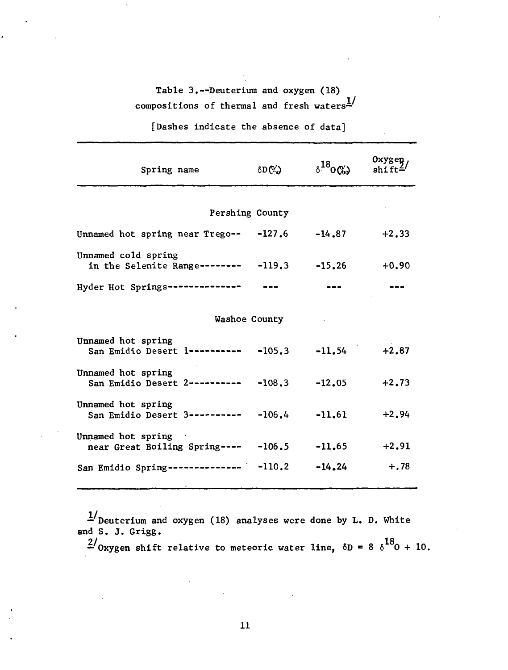# Table 3.--Deuterium and oxygen (18) compositions of thermal and fresh waters $\frac{1}{2}$

[Dashes indicate the absence of data]

| Spring name                                                             | $\delta D(\%)$ | $\delta^{18}$ 0(%) | Oxygen   |
|-------------------------------------------------------------------------|----------------|--------------------|----------|
| Pershing County                                                         |                |                    |          |
| Unnamed hot spring near Trego-- $-127.6$ -14.87                         |                |                    | $+2, 33$ |
| Unnamed cold spring<br>in the Selenite Range-------- $-119.3 -15.26$    |                |                    | $+0.90$  |
| Hyder Hot Springs--------------                                         |                |                    |          |
| Washoe County                                                           |                |                    |          |
| Unnamed hot spring<br>San Emidio Desert 1---------- -105.3 -11.54 +2.87 |                |                    |          |
| Unnamed hot spring<br>San Emidio Desert 2---------- -108.3              |                | $-12,05$           | $+2.73$  |
| Unnamed hot spring<br>San Emidio Desert 3---------- -106.4 -11.61       |                |                    | $+2.94$  |
| Unnamed hot spring<br>near Great Boiling Spring---- -106.5              |                | $-11,65$           | $+2.91$  |
| San Emidio Spring-------------- - -110.2                                |                | $-14.24$           | $+.78$   |

 $\mathbb{Z}^{\prime}$  Deuterium and oxygen (18) analyses were done by L. D. White and S. J. Grigg.

 $\frac{2}{\sqrt{2}}$ — Oxygen shift relative to meteoric water line,  $\omega - \omega - \omega + i\omega$ .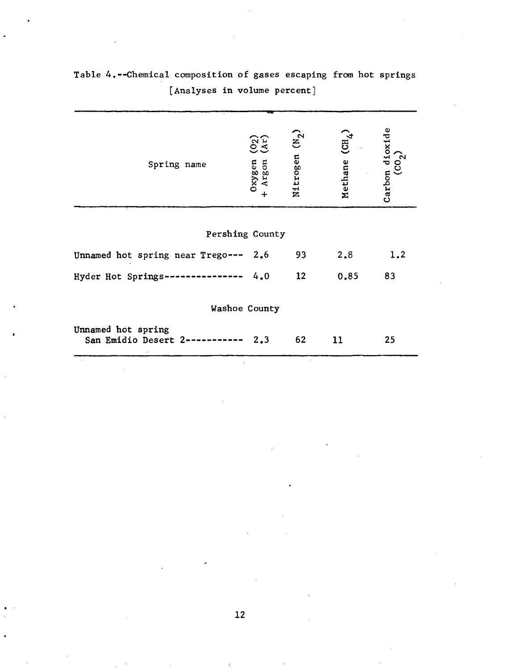| Spring name                                | (02)<br>Oxygen<br>- Argon<br>$\ddot{}$ | Nitrogen (N <sub>2</sub> ) | $\rm (CH_4)$<br>Methane | $\begin{cases}$ Carbon dioxide $\text{(CO}_2) \end{cases}$ |
|--------------------------------------------|----------------------------------------|----------------------------|-------------------------|------------------------------------------------------------|
| Pershing County                            |                                        |                            |                         |                                                            |
| Unnamed hot spring near Trego--- 2.6       |                                        | 93                         | 2.8                     | 1.2                                                        |
| Hyder Hot Springs---------------           | 4.0                                    | 12 <sub>2</sub>            | 0.85                    | 83                                                         |
| Washoe County                              |                                        |                            |                         |                                                            |
| Unnamed hot spring<br>San Emidio Desert 2- | 2,3                                    | 62                         | 11                      | 25                                                         |

Table 4.—Chemical composition of gases escaping from hot springs [Analyses in volume percent]